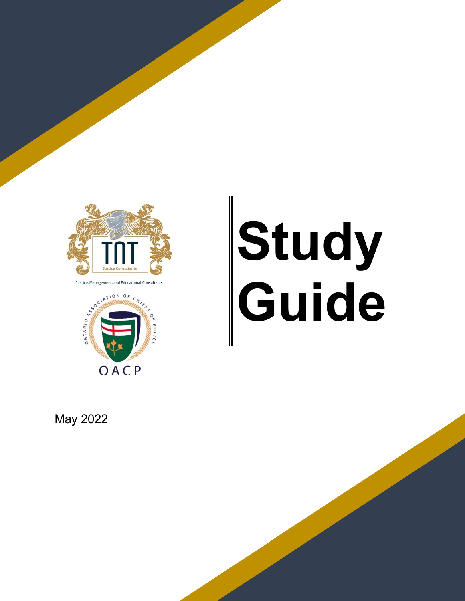

Justice, Management, and Educational Consultants



# **Study Guide**

May 2022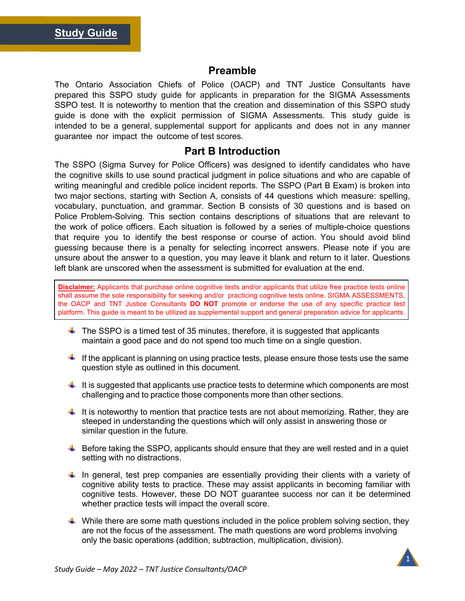#### **Preamble**

The Ontario Association Chiefs of Police (OACP) and TNT Justice Consultants have prepared this SSPO study guide for applicants in preparation for the SIGMA Assessments SSPO test. It is noteworthy to mention that the creation and dissemination of this SSPO study guide is done with the explicit permission of SIGMA Assessments. This study guide is intended to be a general, supplemental support for applicants and does not in any manner guarantee nor impact the outcome of test scores.

#### **Part B Introduction**

The SSPO (Sigma Survey for Police Officers) was designed to identify candidates who have the cognitive skills to use sound practical judgment in police situations and who are capable of writing meaningful and credible police incident reports. The SSPO (Part B Exam) is broken into two major sections, starting with Section A, consists of 44 questions which measure: spelling, vocabulary, punctuation, and grammar. Section B consists of 30 questions and is based on Police Problem-Solving. This section contains descriptions of situations that are relevant to the work of police officers. Each situation is followed by a series of multiple-choice questions that require you to identify the best response or course of action. You should avoid blind guessing because there is a penalty for selecting incorrect answers. Please note if you are unsure about the answer to a question, you may leave it blank and return to it later. Questions left blank are unscored when the assessment is submitted for evaluation at the end.

platform. This guide is meant to be utilized as supplemental support and general preparation advice for applicants. **Disclaimer:** Applicants that purchase online cognitive tests and/or applicants that utilize free practice tests online shall assume the sole responsibility for seeking and/or practicing cognitive tests online. SIGMA ASSESSMENTS, the OACP and TNT Justice Consultants **DO NOT** promote or endorse the use of any specific practice test

- $\ddot{\bullet}$  The SSPO is a timed test of 35 minutes, therefore, it is suggested that applicants maintain a good pace and do not spend too much time on a single question.
- If the applicant is planning on using practice tests, please ensure those tests use the same question style as outlined in this document.
- $\ddot{\phantom{1}}$  It is suggested that applicants use practice tests to determine which components are most challenging and to practice those components more than other sections.
- $\downarrow$  It is noteworthy to mention that practice tests are not about memorizing. Rather, they are steeped in understanding the questions which will only assist in answering those or similar question in the future.
- $\ddot{\bullet}$  Before taking the SSPO, applicants should ensure that they are well rested and in a quiet setting with no distractions.
- $\ddot$  In general, test prep companies are essentially providing their clients with a variety of cognitive ability tests to practice. These may assist applicants in becoming familiar with cognitive tests. However, these DO NOT guarantee success nor can it be determined whether practice tests will impact the overall score.
- $\ddot{\phantom{1}}$  While there are some math questions included in the police problem solving section, they are not the focus of the assessment. The math questions are word problems involving only the basic operations (addition, subtraction, multiplication, division).

1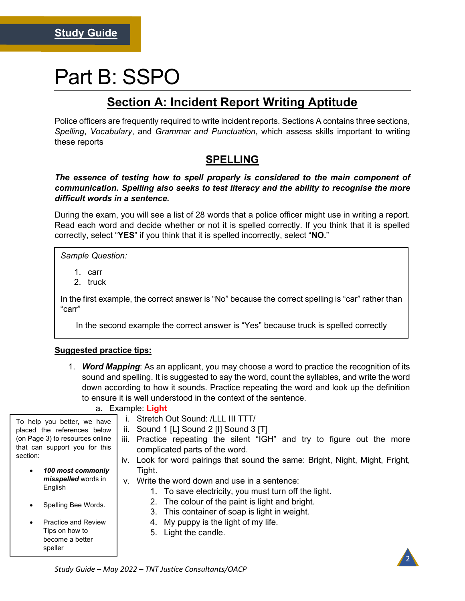# Part B: SSPO

# **Section A: Incident Report Writing Aptitude**

Police officers are frequently required to write incident reports. Sections A contains three sections, *Spelling*, *Vocabulary*, and *Grammar and Punctuation*, which assess skills important to writing these reports

## **SPELLING**

#### *The essence of testing how to spell properly is considered to the main component of communication. Spelling also seeks to test literacy and the ability to recognise the more difficult words in a sentence.*

During the exam, you will see a list of 28 words that a police officer might use in writing a report. Read each word and decide whether or not it is spelled correctly. If you think that it is spelled correctly, select "**YES**" if you think that it is spelled incorrectly, select "**NO.**"

*Sample Question:*

- 1. carr
- 2. truck

In the first example, the correct answer is "No" because the correct spelling is "car" rather than "carr"

In the second example the correct answer is "Yes" because truck is spelled correctly

#### **Suggested practice tips:**

1. *Word Mapping*: As an applicant, you may choose a word to practice the recognition of its sound and spelling. It is suggested to say the word, count the syllables, and write the word down according to how it sounds. Practice repeating the word and look up the definition to ensure it is well understood in the context of the sentence.

#### a. Example: **Light**

- i. Stretch Out Sound: /LLL III TTT/
- ii. Sound 1  $[L]$  Sound 2  $[I]$  Sound 3  $[T]$
- iii. Practice repeating the silent "IGH" and try to figure out the more complicated parts of the word.
- iv. Look for word pairings that sound the same: Bright, Night, Might, Fright, Tight.
- v. Write the word down and use in a sentence:
	- 1. To save electricity, you must turn off the light.
	- 2. The colour of the paint is light and bright.
	- 3. This container of soap is light in weight.
	- 4. My puppy is the light of my life.
	- 5. Light the candle.

To help you better, we have placed the references below (on Page 3) to resources online that can support you for this section:

- *100 most commonly misspelled* words in English
- Spelling Bee Words.
- Practice and Review Tips on how to become a better speller



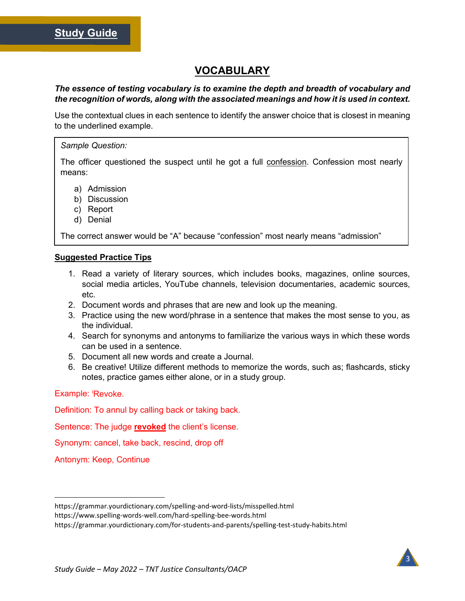### **VOCABULARY**

#### *The essence of testing vocabulary is to examine the depth and breadth of vocabulary and the recognition of words, along with the associated meanings and how it is used in context.*

Use the contextual clues in each sentence to identify the answer choice that is closest in meaning to the underlined example.

#### *Sample Question:*

The officer questioned the suspect until he got a full confession. Confession most nearly means:

- a) Admission
- b) Discussion
- c) Report
- d) Denial

The correct answer would be "A" because "confession" most nearly means "admission"

#### **Suggested Practice Tips**

- 1. Read a variety of literary sources, which includes books, magazines, online sources, social media articles, YouTube channels, television documentaries, academic sources, etc.
- 2. Document words and phrases that are new and look up the meaning.
- 3. Practice using the new word/phrase in a sentence that makes the most sense to you, as the individual.
- 4. Search for synonyms and antonyms to familiarize the various ways in which these words can be used in a sentence.
- 5. Document all new words and create a Journal.
- 6. Be creative! Utilize different methods to memorize the words, such as; flashcards, sticky notes, practice games either alone, or in a study group.

Example: Revoke.

Definition: To annul by calling back or taking back.

Sentence: The judge **revoked** the client's license.

Synonym: cancel, take back, rescind, drop off

Antonym: Keep, Continue



https://grammar.yourdictionary.com/spelling-and-word-lists/misspelled.html

https://www.spelling-words-well.com/hard-spelling-bee-words.html

https://grammar.yourdictionary.com/for-students-and-parents/spelling-test-study-habits.html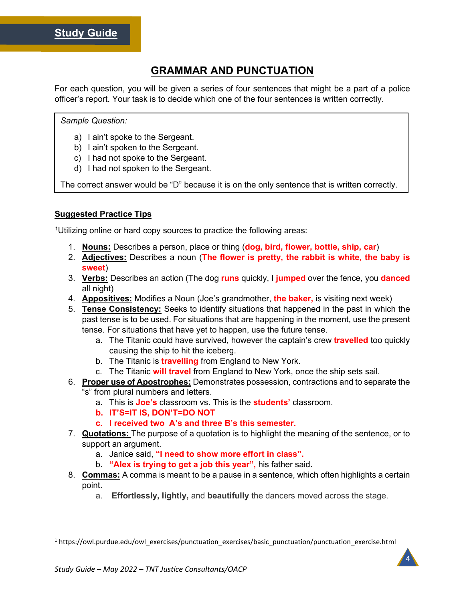## **GRAMMAR AND PUNCTUATION**

For each question, you will be given a series of four sentences that might be a part of a police officer's report. Your task is to decide which one of the four sentences is written correctly.

#### *Sample Question:*

- a) I ain't spoke to the Sergeant.
- b) I ain't spoken to the Sergeant.
- c) I had not spoke to the Sergeant.
- d) I had not spoken to the Sergeant.

The correct answer would be "D" because it is on the only sentence that is written correctly.

#### **Suggested Practice Tips**

<sup>[1](#page-4-0)</sup>Utilizing online or hard copy sources to practice the following areas:

- 1. **Nouns:** Describes a person, place or thing (**dog, bird, flower, bottle, ship, car**)
- 2. **Adjectives:** Describes a noun (**The flower is pretty, the rabbit is white, the baby is sweet**)
- 3. **Verbs:** Describes an action (The dog **runs** quickly, I **jumped** over the fence, you **danced** all night)
- 4. **Appositives:** Modifies a Noun (Joe's grandmother, **the baker,** is visiting next week)
- 5. **Tense Consistency:** Seeks to identify situations that happened in the past in which the past tense is to be used. For situations that are happening in the moment, use the present tense. For situations that have yet to happen, use the future tense.
	- a. The Titanic could have survived, however the captain's crew **travelled** too quickly causing the ship to hit the iceberg.
	- b. The Titanic is **travelling** from England to New York.
	- c. The Titanic **will travel** from England to New York, once the ship sets sail.
- 6. **Proper use of Apostrophes:** Demonstrates possession, contractions and to separate the "s" from plural numbers and letters.
	- a. This is **Joe's** classroom vs. This is the **students'** classroom.
	- **b. IT'S=IT IS, DON'T=DO NOT**
	- **c. I received two A's and three B's this semester.**
- 7. **Quotations:** The purpose of a quotation is to highlight the meaning of the sentence, or to support an argument.
	- a. Janice said, **"I need to show more effort in class".**
	- b. **"Alex is trying to get a job this year",** his father said.
- 8. **Commas:** A comma is meant to be a pause in a sentence, which often highlights a certain point.
	- a. **Effortlessly, lightly,** and **beautifully** the dancers moved across the stage.

4

<span id="page-4-0"></span><sup>&</sup>lt;sup>1</sup> https://owl.purdue.edu/owl\_exercises/punctuation\_exercises/basic\_punctuation/punctuation\_exercise.html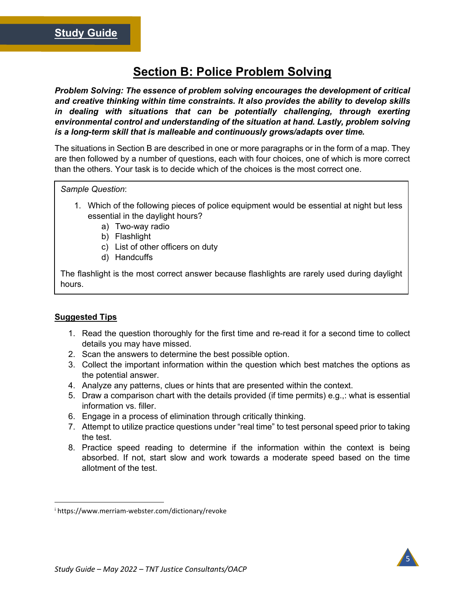# **Section B: Police Problem Solving**

*Problem Solving: The essence of problem solving encourages the development of critical and creative thinking within time constraints. It also provides the ability to develop skills in dealing with situations that can be potentially challenging, through exerting environmental control and understanding of the situation at hand. Lastly, problem solving is a long-term skill that is malleable and continuously grows/adapts over time.* 

The situations in Section B are described in one or more paragraphs or in the form of a map. They are then followed by a number of questions, each with four choices, one of which is more correct than the others. Your task is to decide which of the choices is the most correct one.

#### *Sample Question*:

- 1. Which of the following pieces of police equipment would be essential at night but less essential in the daylight hours?
	- a) Two-way radio
	- b) Flashlight
	- c) List of other officers on duty
	- d) Handcuffs

The flashlight is the most correct answer because flashlights are rarely used during daylight hours.

#### **Suggested Tips**

- 1. Read the question thoroughly for the first time and re-read it for a second time to collect details you may have missed.
- 2. Scan the answers to determine the best possible option.
- 3. Collect the important information within the question which best matches the options as the potential answer.
- 4. Analyze any patterns, clues or hints that are presented within the context.
- 5. Draw a comparison chart with the details provided (if time permits) e.g.,: what is essential information vs. filler.
- 6. Engage in a process of elimination through critically thinking.
- 7. Attempt to utilize practice questions under "real time" to test personal speed prior to taking the test.
- 8. Practice speed reading to determine if the information within the context is being absorbed. If not, start slow and work towards a moderate speed based on the time allotment of the test.

<span id="page-5-0"></span><sup>i</sup> https://www.merriam-webster.com/dictionary/revoke